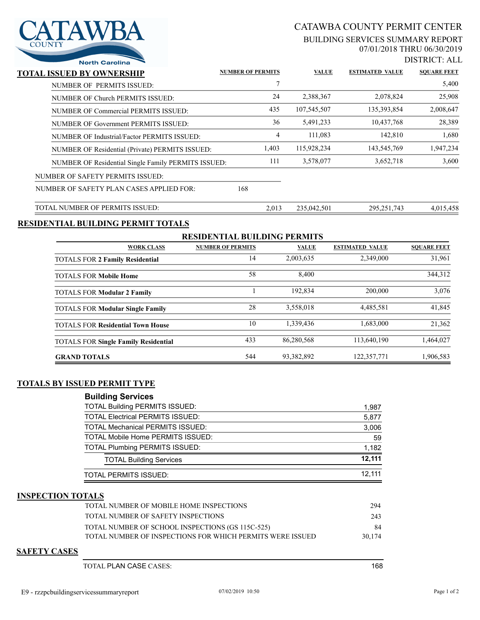

# CATAWBA COUNTY PERMIT CENTER

#### BUILDING SERVICES SUMMARY REPORT 07/01/2018 THRU 06/30/2019

DISTRICT: ALL

| <b>North Carolina</b>                               |                          |              |                        | DISTNIUT, AL       |
|-----------------------------------------------------|--------------------------|--------------|------------------------|--------------------|
| TOTAL ISSUED BY OWNERSHIP                           | <b>NUMBER OF PERMITS</b> | <b>VALUE</b> | <b>ESTIMATED VALUE</b> | <b>SOUARE FEET</b> |
| NUMBER OF PERMITS ISSUED:                           |                          |              |                        | 5,400              |
| NUMBER OF Church PERMITS ISSUED:                    | 24                       | 2,388,367    | 2,078,824              | 25,908             |
| NUMBER OF Commercial PERMITS ISSUED:                | 435                      | 107,545,507  | 135,393,854            | 2,008,647          |
| NUMBER OF Government PERMITS ISSUED:                | 36                       | 5,491,233    | 10,437,768             | 28,389             |
| NUMBER OF Industrial/Factor PERMITS ISSUED:         | 4                        | 111.083      | 142,810                | 1,680              |
| NUMBER OF Residential (Private) PERMITS ISSUED:     | 1,403                    | 115,928,234  | 143,545,769            | 1,947,234          |
| NUMBER OF Residential Single Family PERMITS ISSUED: | 111                      | 3,578,077    | 3,652,718              | 3.600              |
| NUMBER OF SAFETY PERMITS ISSUED:                    |                          |              |                        |                    |
| NUMBER OF SAFETY PLAN CASES APPLIED FOR:            | 168                      |              |                        |                    |
|                                                     |                          |              |                        |                    |

| PERMITS ISSUED:<br><b>TOTA</b><br>NUMBER OF | 2.013 | .501 | 74°،<br>705 | A E Q<br>$\sim$ $\sim$ |
|---------------------------------------------|-------|------|-------------|------------------------|
|                                             |       |      |             |                        |

#### **RESIDENTIAL BUILDING PERMIT TOTALS**

| <b>RESIDENTIAL BUILDING PERMITS</b>         |                          |              |                        |                    |  |  |
|---------------------------------------------|--------------------------|--------------|------------------------|--------------------|--|--|
| <b>WORK CLASS</b>                           | <b>NUMBER OF PERMITS</b> | <b>VALUE</b> | <b>ESTIMATED VALUE</b> | <b>SQUARE FEET</b> |  |  |
| <b>TOTALS FOR 2 Family Residential</b>      | 14                       | 2,003,635    | 2,349,000              | 31,961             |  |  |
| <b>TOTALS FOR Mobile Home</b>               | 58                       | 8.400        |                        | 344,312            |  |  |
| <b>TOTALS FOR Modular 2 Family</b>          |                          | 192,834      | 200,000                | 3,076              |  |  |
| <b>TOTALS FOR Modular Single Family</b>     | 28                       | 3,558,018    | 4,485,581              | 41,845             |  |  |
| <b>TOTALS FOR Residential Town House</b>    | 10                       | 1,339,436    | 1,683,000              | 21,362             |  |  |
| <b>TOTALS FOR Single Family Residential</b> | 433                      | 86,280,568   | 113,640,190            | 1,464,027          |  |  |
| <b>GRAND TOTALS</b>                         | 544                      | 93,382,892   | 122,357,771            | 1,906,583          |  |  |

### **TOTALS BY ISSUED PERMIT TYPE**

|  | <b>Building Services</b> |
|--|--------------------------|
|--|--------------------------|

| <b>TOTAL Building PERMITS ISSUED:</b>    | 1,987  |
|------------------------------------------|--------|
| <b>TOTAL Electrical PERMITS ISSUED:</b>  | 5.877  |
| <b>TOTAL Mechanical PERMITS ISSUED:</b>  | 3.006  |
| <b>TOTAL Mobile Home PERMITS ISSUED:</b> | 59     |
| <b>TOTAL Plumbing PERMITS ISSUED:</b>    | 1,182  |
| <b>TOTAL Building Services</b>           | 12.111 |
| <b>TOTAL PERMITS ISSUED:</b>             | 12.111 |

#### **INSPECTION TOTALS**

| TOTAL NUMBER OF MOBILE HOME INSPECTIONS                    | 294    |
|------------------------------------------------------------|--------|
| TOTAL NUMBER OF SAFETY INSPECTIONS                         | 243    |
| TOTAL NUMBER OF SCHOOL INSPECTIONS (GS 115C-525)           | 84     |
| TOTAL NUMBER OF INSPECTIONS FOR WHICH PERMITS WERE ISSUED. | 30,174 |

### **SAFETY CASES**

TOTAL PLAN CASE CASES: 168